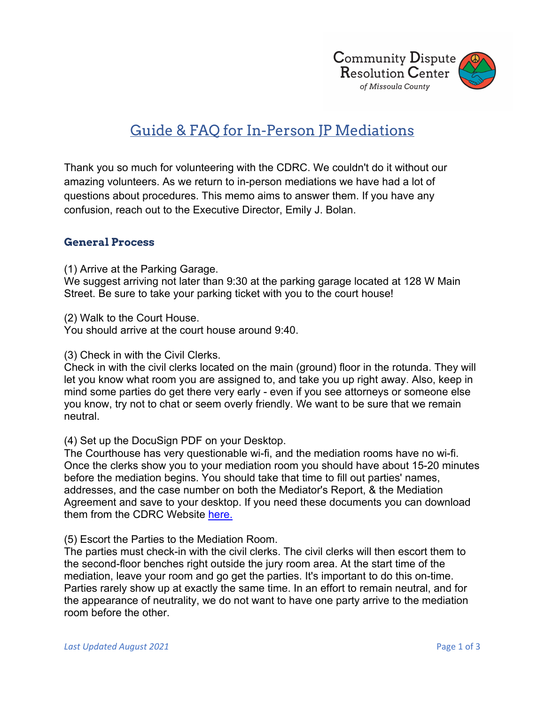

# Guide & FAQ for In-Person JP Mediations

Thank you so much for volunteering with the CDRC. We couldn't do it without our amazing volunteers. As we return to in-person mediations we have had a lot of questions about procedures. This memo aims to answer them. If you have any confusion, reach out to the Executive Director, Emily J. Bolan.

## **General Process**

(1) Arrive at the Parking Garage.

We suggest arriving not later than 9:30 at the parking garage located at 128 W Main Street. Be sure to take your parking ticket with you to the court house!

(2) Walk to the Court House.

You should arrive at the court house around 9:40.

(3) Check in with the Civil Clerks.

Check in with the civil clerks located on the main (ground) floor in the rotunda. They will let you know what room you are assigned to, and take you up right away. Also, keep in mind some parties do get there very early - even if you see attorneys or someone else you know, try not to chat or seem overly friendly. We want to be sure that we remain neutral.

(4) Set up the DocuSign PDF on your Desktop.

The Courthouse has very questionable wi-fi, and the mediation rooms have no wi-fi. Once the clerks show you to your mediation room you should have about 15-20 minutes before the mediation begins. You should take that time to fill out parties' names, addresses, and the case number on both the Mediator's Report, & the Mediation Agreement and save to your desktop. If you need these documents you can download them from the CDRC Website here.

#### (5) Escort the Parties to the Mediation Room.

The parties must check-in with the civil clerks. The civil clerks will then escort them to the second-floor benches right outside the jury room area. At the start time of the mediation, leave your room and go get the parties. It's important to do this on-time. Parties rarely show up at exactly the same time. In an effort to remain neutral, and for the appearance of neutrality, we do not want to have one party arrive to the mediation room before the other.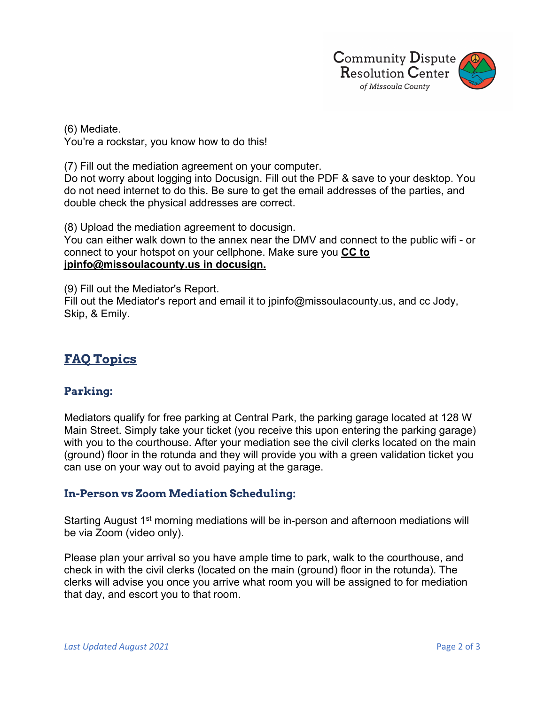

(6) Mediate. You're a rockstar, you know how to do this!

(7) Fill out the mediation agreement on your computer.

Do not worry about logging into Docusign. Fill out the PDF & save to your desktop. You do not need internet to do this. Be sure to get the email addresses of the parties, and double check the physical addresses are correct.

(8) Upload the mediation agreement to docusign.

You can either walk down to the annex near the DMV and connect to the public wifi - or connect to your hotspot on your cellphone. Make sure you **CC to jpinfo@missoulacounty.us in docusign.** 

(9) Fill out the Mediator's Report.

Fill out the Mediator's report and email it to jpinfo@missoulacounty.us, and cc Jody, Skip, & Emily.

# **FAQ Topics**

# **Parking:**

Mediators qualify for free parking at Central Park, the parking garage located at 128 W Main Street. Simply take your ticket (you receive this upon entering the parking garage) with you to the courthouse. After your mediation see the civil clerks located on the main (ground) floor in the rotunda and they will provide you with a green validation ticket you can use on your way out to avoid paying at the garage.

# **In-Person vs Zoom Mediation Scheduling:**

Starting August 1<sup>st</sup> morning mediations will be in-person and afternoon mediations will be via Zoom (video only).

Please plan your arrival so you have ample time to park, walk to the courthouse, and check in with the civil clerks (located on the main (ground) floor in the rotunda). The clerks will advise you once you arrive what room you will be assigned to for mediation that day, and escort you to that room.